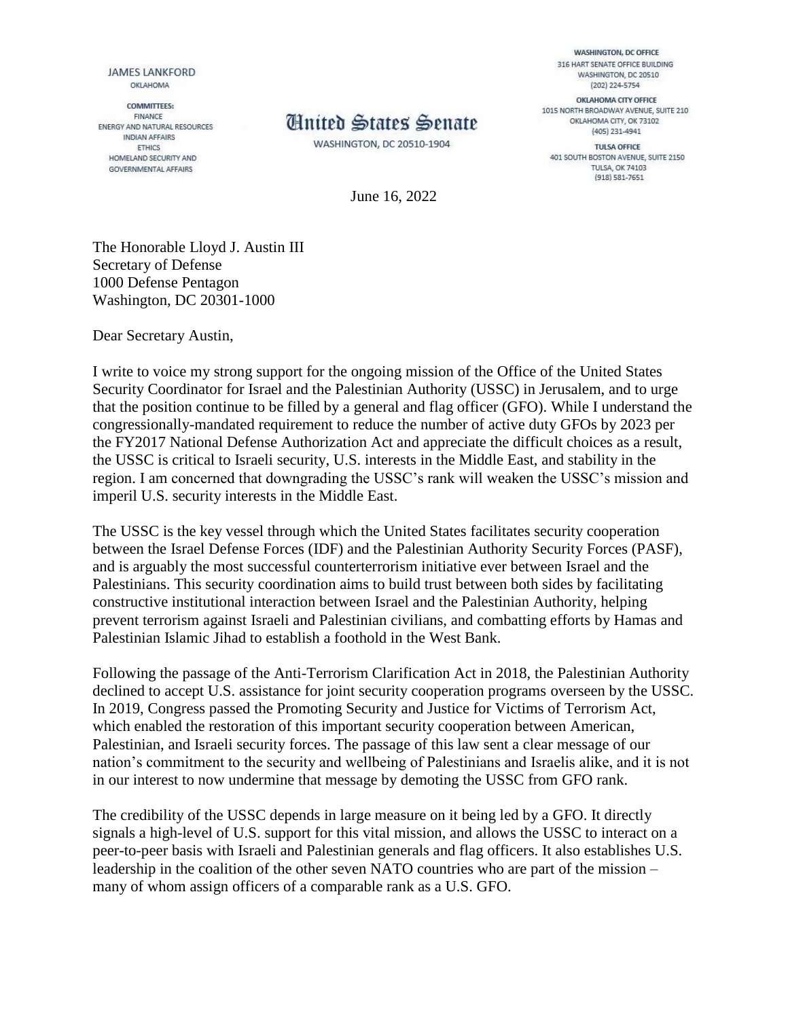**JAMES LANKFORD** OKLAHOMA

**COMMITTEES:** FINANCE ENERGY AND NATURAL RESOURCES **INDIAN AFFAIRS** ETHICS HOMELAND SECURITY AND **GOVERNMENTAL AFFAIRS** 



WASHINGTON, DC 20510-1904

June 16, 2022

**WASHINGTON, DC OFFICE** 316 HART SENATE OFFICE BUILDING WASHINGTON, DC 20510 (202) 224-5754

OKLAHOMA CITY OFFICE 1015 NORTH BROADWAY AVENUE, SUITE 210 OKLAHOMA CITY, OK 73102 (405) 231-4941

TULSA OFFICE 401 SOUTH BOSTON AVENUE, SUITE 2150 **TULSA, OK 74103**  $(918)$  581-7651

The Honorable Lloyd J. Austin III Secretary of Defense 1000 Defense Pentagon Washington, DC 20301-1000

Dear Secretary Austin,

I write to voice my strong support for the ongoing mission of the Office of the United States Security Coordinator for Israel and the Palestinian Authority (USSC) in Jerusalem, and to urge that the position continue to be filled by a general and flag officer (GFO). While I understand the congressionally-mandated requirement to reduce the number of active duty GFOs by 2023 per the FY2017 National Defense Authorization Act and appreciate the difficult choices as a result, the USSC is critical to Israeli security, U.S. interests in the Middle East, and stability in the region. I am concerned that downgrading the USSC's rank will weaken the USSC's mission and imperil U.S. security interests in the Middle East.

The USSC is the key vessel through which the United States facilitates security cooperation between the Israel Defense Forces (IDF) and the Palestinian Authority Security Forces (PASF), and is arguably the most successful counterterrorism initiative ever between Israel and the Palestinians. This security coordination aims to build trust between both sides by facilitating constructive institutional interaction between Israel and the Palestinian Authority, helping prevent terrorism against Israeli and Palestinian civilians, and combatting efforts by Hamas and Palestinian Islamic Jihad to establish a foothold in the West Bank.

Following the passage of the Anti-Terrorism Clarification Act in 2018, the Palestinian Authority declined to accept U.S. assistance for joint security cooperation programs overseen by the USSC. In 2019, Congress passed the Promoting Security and Justice for Victims of Terrorism Act, which enabled the restoration of this important security cooperation between American, Palestinian, and Israeli security forces. The passage of this law sent a clear message of our nation's commitment to the security and wellbeing of Palestinians and Israelis alike, and it is not in our interest to now undermine that message by demoting the USSC from GFO rank.

The credibility of the USSC depends in large measure on it being led by a GFO. It directly signals a high-level of U.S. support for this vital mission, and allows the USSC to interact on a peer-to-peer basis with Israeli and Palestinian generals and flag officers. It also establishes U.S. leadership in the coalition of the other seven NATO countries who are part of the mission – many of whom assign officers of a comparable rank as a U.S. GFO.